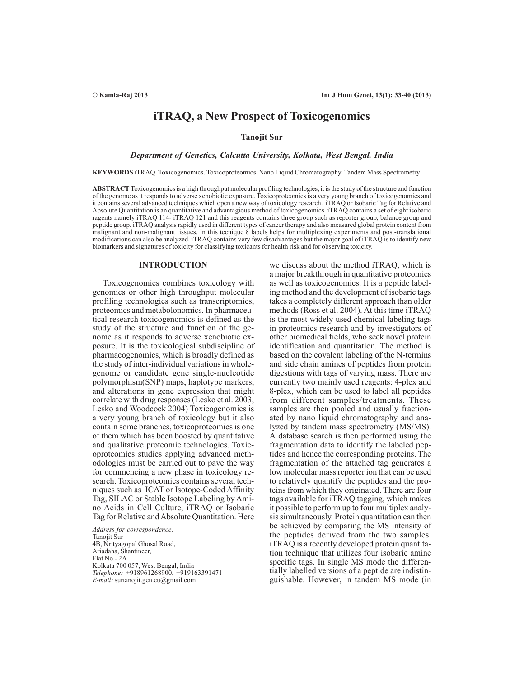# **iTRAQ, a New Prospect of Toxicogenomics**

**Tanojit Sur**

# *Department of Genetics, Calcutta University, Kolkata, West Bengal. India*

**KEYWORDS** iTRAQ. Toxicogenomics. Toxicoproteomics. Nano Liquid Chromatography. Tandem Mass Spectrometry

**ABSTRACT**Toxicogenomics is a high throughput molecular profiling technologies, it is the study of the structure and function of the genome as it responds to adverse xenobiotic exposure. Toxicoproteomics is a very young branch of toxicogenomics and it contains several advanced techniques which open a new way of toxicology research. iTRAQ or Isobaric Tag for Relative and Absolute Quantitation is an quantitative and advantagious method of toxicogenomics. iTRAQ contains a set of eight isobaric ragents namely iTRAQ 114- iTRAQ 121 and this reagents contains three group such as reporter group, balance group and peptide group. iTRAQ analysis rapidly used in different types of cancer therapy and also measured global protein content from malignant and non-malignant tissues. In this tecnique 8 labels helps for multiplexing experiments and post-translational modifications can also be analyzed. iTRAQ contains very few disadvantages but the major goal of iTRAQ is to identify new biomarkers and signatures of toxicity for classifying toxicants for health risk and for observing toxicity.

### **INTRODUCTION**

Toxicogenomics combines toxicology with genomics or other high throughput molecular profiling technologies such as transcriptomics, proteomics and metabolonomics. In pharmaceutical research toxicogenomics is defined as the study of the structure and function of the genome as it responds to adverse xenobiotic exposure. It is the toxicological subdiscipline of pharmacogenomics, which is broadly defined as the study of inter-individual variations in wholegenome or candidate gene single-nucleotide polymorphism(SNP) maps, haplotype markers, and alterations in gene expression that might correlate with drug responses (Lesko et al. 2003; Lesko and Woodcock 2004) Toxicogenomics is a very young branch of toxicology but it also contain some branches, toxicoproteomics is one of them which has been boosted by quantitative and qualitative proteomic technologies. Toxicoproteomics studies applying advanced methodologies must be carried out to pave the way for commencing a new phase in toxicology research. Toxicoproteomics contains several techniques such as ICAT or Isotope-Coded Affinity Tag, SILAC or Stable Isotope Labeling by Amino Acids in Cell Culture, iTRAQ or Isobaric Tag for Relative and Absolute Quantitation. Here

*Address for correspondence:* Tanojit Sur 4B, Nrityagopal Ghosal Road, Ariadaha, Shantineer, Flat No.- 2A Kolkata 700 057, West Bengal, India *Telephone:* +918961268900, +919163391471 *E-mail:* surtanojit.gen.cu@gmail.com

we discuss about the method iTRAQ, which is a major breakthrough in quantitative proteomics as well as toxicogenomics. It is a peptide labeling method and the development of isobaric tags takes a completely different approach than older methods (Ross et al. 2004). At this time iTRAQ is the most widely used chemical labeling tags in proteomics research and by investigators of other biomedical fields, who seek novel protein identification and quantitation. The method is based on the covalent labeling of the N-termins and side chain amines of peptides from protein digestions with tags of varying mass. There are currently two mainly used reagents: 4-plex and 8-plex, which can be used to label all peptides from different samples/treatments. These samples are then pooled and usually fractionated by nano liquid chromatography and analyzed by tandem mass spectrometry (MS/MS). A database search is then performed using the fragmentation data to identify the labeled peptides and hence the corresponding proteins. The fragmentation of the attached tag generates a low molecular mass reporter ion that can be used to relatively quantify the peptides and the proteins from which they originated. There are four tags available for iTRAQ tagging, which makes it possible to perform up to four multiplex analysis simultaneously. Protein quantitation can then be achieved by comparing the MS intensity of the peptides derived from the two samples. iTRAQ is a recently developed protein quantitation technique that utilizes four isobaric amine specific tags. In single MS mode the differentially labelled versions of a peptide are indistinguishable. However, in tandem MS mode (in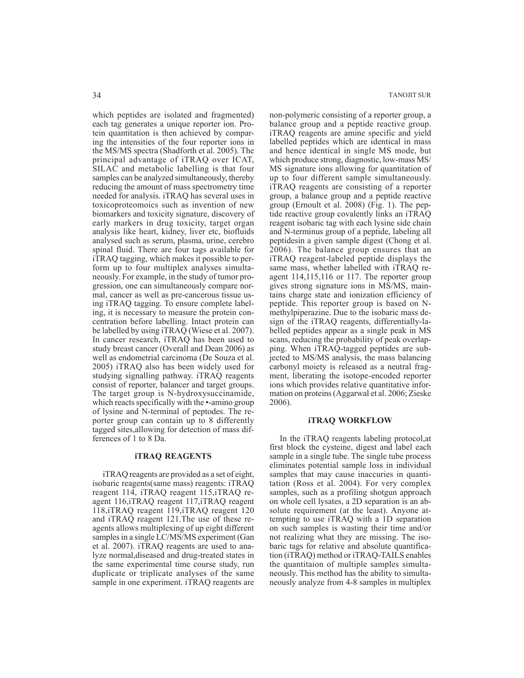which peptides are isolated and fragmented) each tag generates a unique reporter ion. Protein quantitation is then achieved by comparing the intensities of the four reporter ions in the MS/MS spectra (Shadforth et al. 2005). The principal advantage of iTRAQ over ICAT, SILAC and metabolic labelling is that four samples can be analyzed simultaneously, thereby reducing the amount of mass spectrometry time needed for analysis. iTRAQ has several uses in toxicoproteomoics such as invention of new biomarkers and toxicity signature, discovery of early markers in drug toxicity, target organ analysis like heart, kidney, liver etc, biofluids analysed such as serum, plasma, urine, cerebro spinal fluid. There are four tags available for iTRAQ tagging, which makes it possible to perform up to four multiplex analyses simultaneously. For example, in the study of tumor progression, one can simultaneously compare normal, cancer as well as pre-cancerous tissue using iTRAQ tagging. To ensure complete labeling, it is necessary to measure the protein concentration before labelling. Intact protein can be labelled by using iTRAQ (Wiese et al. 2007). In cancer research, iTRAQ has been used to study breast cancer (Overall and Dean 2006) as well as endometrial carcinoma (De Souza et al. 2005) iTRAQ also has been widely used for studying signalling pathway. iTRAQ reagents consist of reporter, balancer and target groups. The target group is N-hydroxysuccinamide, which reacts specifically with the •-amino group of lysine and N-terminal of peptodes. The reporter group can contain up to 8 differently tagged sites,allowing for detection of mass differences of 1 to 8 Da.

# **iTRAQ REAGENTS**

iTRAQ reagents are provided as a set of eight, isobaric reagents(same mass) reagents: iTRAQ reagent 114, iTRAQ reagent 115,iTRAQ reagent 116,iTRAQ reagent 117,iTRAQ reagent 118,iTRAQ reagent 119,iTRAQ reagent 120 and iTRAQ reagent 121.The use of these reagents allows multiplexing of up eight different samples in a single LC/MS/MS experiment (Gan et al. 2007). iTRAQ reagents are used to analyze normal,diseased and drug-treated states in the same experimental time course study, run duplicate or triplicate analyses of the same sample in one experiment. iTRAQ reagents are non-polymeric consisting of a reporter group, a balance group and a peptide reactive group. iTRAQ reagents are amine specific and yield labelled peptides which are identical in mass and hence identical in single MS mode, but which produce strong, diagnostic, low-mass MS/ MS signature ions allowing for quantitation of up to four different sample simultaneously. iTRAQ reagents are consisting of a reporter group, a balance group and a peptide reactive group (Ernoult et al. 2008) (Fig. 1). The peptide reactive group covalently links an iTRAQ reagent isobaric tag with each lysine side chain and N-terminus group of a peptide, labeling all peptidesin a given sample digest (Chong et al. 2006). The balance group ensures that an iTRAQ reagent-labeled peptide displays the same mass, whether labelled with iTRAQ reagent 114,115,116 or 117. The reporter group gives strong signature ions in MS/MS, maintains charge state and ionization efficiency of peptide. This reporter group is based on Nmethylpiperazine. Due to the isobaric mass design of the iTRAQ reagents, differentially-labelled peptides appear as a single peak in MS scans, reducing the probability of peak overlapping. When iTRAQ-tagged peptides are subjected to MS/MS analysis, the mass balancing carbonyl moiety is released as a neutral fragment, liberating the isotope-encoded reporter ions which provides relative quantitative information on proteins(Aggarwal et al. 2006; Zieske 2006).

# **iTRAQ WORKFLOW**

In the iTRAQ reagents labeling protocol,at first block the cysteine, digest and label each sample in a single tube. The single tube process eliminates potential sample loss in individual samples that may cause inaccuries in quantitation (Ross et al. 2004). For very complex samples, such as a profiling shotgun approach on whole cell lysates, a 2D separation is an absolute requirement (at the least). Anyone attempting to use iTRAQ with a 1D separation on such samples is wasting their time and/or not realizing what they are missing. The isobaric tags for relative and absolute quantification (iTRAQ) method or iTRAQ-TAILS enables the quantitaion of multiple samples simultaneously. This method has the ability to simultaneously analyze from 4-8 samples in multiplex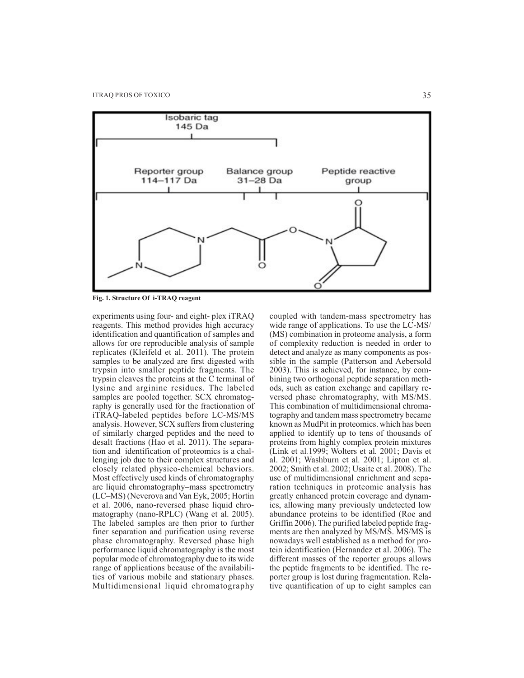

**Fig. 1. Structure Of i-TRAQ reagent**

experiments using four- and eight- plex iTRAQ reagents. This method provides high accuracy identification and quantification of samples and allows for ore reproducible analysis of sample replicates (Kleifeld et al. 2011). The protein samples to be analyzed are first digested with trypsin into smaller peptide fragments. The trypsin cleaves the proteins at the C terminal of lysine and arginine residues. The labeled samples are pooled together. SCX chromatography is generally used for the fractionation of iTRAQ-labeled peptides before LC-MS/MS analysis. However, SCX suffers from clustering of similarly charged peptides and the need to desalt fractions (Hao et al. 2011). The separation and identification of proteomics is a challenging job due to their complex structures and closely related physico-chemical behaviors. Most effectively used kinds of chromatography are liquid chromatography–mass spectrometry (LC–MS) (Neverova and Van Eyk, 2005; Hortin et al. 2006, nano-reversed phase liquid chromatography (nano-RPLC) (Wang et al. 2005). The labeled samples are then prior to further finer separation and purification using reverse phase chromatography. Reversed phase high performance liquid chromatography is the most popular mode of chromatography due to its wide range of applications because of the availabilities of various mobile and stationary phases. Multidimensional liquid chromatography coupled with tandem-mass spectrometry has wide range of applications. To use the LC-MS/ (MS) combination in proteome analysis, a form of complexity reduction is needed in order to detect and analyze as many components as possible in the sample (Patterson and Aebersold 2003). This is achieved, for instance, by combining two orthogonal peptide separation methods, such as cation exchange and capillary reversed phase chromatography, with MS/MS. This combination of multidimensional chromatography and tandem mass spectrometry became known as MudPit in proteomics. which has been applied to identify up to tens of thousands of proteins from highly complex protein mixtures (Link et al*.*1999; Wolters et al*.* 2001; Davis et al. 2001; Washburn et al*.* 2001; Lipton et al. 2002; Smith et al. 2002; Usaite et al. 2008). The use of multidimensional enrichment and separation techniques in proteomic analysis has greatly enhanced protein coverage and dynamics, allowing many previously undetected low abundance proteins to be identified (Roe and Griffin 2006). The purified labeled peptide fragments are then analyzed by MS/MS. MS/MS is nowadays well established as a method for protein identification (Hernandez et al. 2006). The different masses of the reporter groups allows the peptide fragments to be identified. The reporter group is lost during fragmentation. Relative quantification of up to eight samples can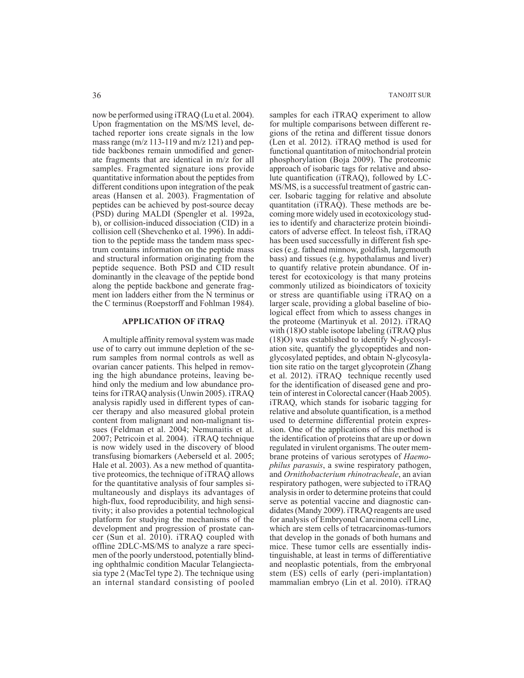now be performed using iTRAQ (Lu et al. 2004). Upon fragmentation on the MS/MS level, detached reporter ions create signals in the low mass range (m/z 113-119 and m/z 121) and peptide backbones remain unmodified and generate fragments that are identical in m/z for all samples. Fragmented signature ions provide quantitative information about the peptides from different conditions upon integration of the peak areas (Hansen et al. 2003). Fragmentation of peptides can be achieved by post-source decay (PSD) during MALDI (Spengler et al. 1992a, b), or collision-induced dissociation (CID) in a collision cell (Shevchenko et al. 1996). In addition to the peptide mass the tandem mass spectrum contains information on the peptide mass and structural information originating from the peptide sequence. Both PSD and CID result dominantly in the cleavage of the peptide bond along the peptide backbone and generate fragment ion ladders either from the N terminus or the C terminus (Roepstorff and Fohlman 1984).

# **APPLICATION OF iTRAQ**

A multiple affinity removal system was made use of to carry out immune depletion of the serum samples from normal controls as well as ovarian cancer patients. This helped in removing the high abundance proteins, leaving behind only the medium and low abundance proteins for iTRAQ analysis (Unwin 2005). iTRAQ analysis rapidly used in different types of cancer therapy and also measured global protein content from malignant and non-malignant tissues (Feldman et al. 2004; Nemunaitis et al. 2007; Petricoin et al. 2004). iTRAQ technique is now widely used in the discovery of blood transfusing biomarkers (Aeberseld et al. 2005; Hale et al. 2003). As a new method of quantitative proteomics, the technique of iTRAQ allows for the quantitative analysis of four samples simultaneously and displays its advantages of high-flux, food reproducibility, and high sensitivity; it also provides a potential technological platform for studying the mechanisms of the development and progression of prostate cancer (Sun et al. 2010). iTRAQ coupled with offline 2DLC-MS/MS to analyze a rare specimen of the poorly understood, potentially blinding ophthalmic condition Macular Telangiectasia type 2 (MacTel type 2). The technique using an internal standard consisting of pooled samples for each iTRAQ experiment to allow for multiple comparisons between different regions of the retina and different tissue donors (Len et al. 2012). iTRAQ method is used for functional quantitation of mitochondrial protein phosphorylation (Boja 2009). The proteomic approach of isobaric tags for relative and absolute quantification (iTRAQ), followed by LC-MS/MS, is a successful treatment of gastric cancer. Isobaric tagging for relative and absolute quantitation (iTRAQ). These methods are becoming more widely used in ecotoxicology studies to identify and characterize protein bioindicators of adverse effect. In teleost fish, iTRAQ has been used successfully in different fish species (e.g. fathead minnow, goldfish, largemouth bass) and tissues (e.g. hypothalamus and liver) to quantify relative protein abundance. Of interest for ecotoxicology is that many proteins commonly utilized as bioindicators of toxicity or stress are quantifiable using iTRAQ on a larger scale, providing a global baseline of biological effect from which to assess changes in the proteome (Martinyuk et al. 2012). iTRAQ with (18)O stable isotope labeling (*iTRAO* plus (18)O) was established to identify N-glycosylation site, quantify the glycopeptides and nonglycosylated peptides, and obtain N-glycosylation site ratio on the target glycoprotein (Zhang et al. 2012). iTRAQ technique recently used for the identification of diseased gene and protein of interest in Colorectal cancer (Haab 2005). iTRAQ, which stands for isobaric tagging for relative and absolute quantification, is a method used to determine differential protein expression. One of the applications of this method is the identification of proteins that are up or down regulated in virulent organisms. The outer membrane proteins of various serotypes of *Haemophilus parasuis*, a swine respiratory pathogen, and *Ornithobacterium rhinotracheale*, an avian respiratory pathogen, were subjected to iTRAQ analysis in order to determine proteins that could serve as potential vaccine and diagnostic candidates (Mandy 2009). iTRAQ reagents are used for analysis of Embryonal Carcinoma cell Line, which are stem cells of tetracarcinomas-tumors that develop in the gonads of both humans and mice. These tumor cells are essentially indistinguishable, at least in terms of differentiative and neoplastic potentials, from the embryonal stem (ES) cells of early (peri-implantation) mammalian embryo (Lin et al. 2010). iTRAQ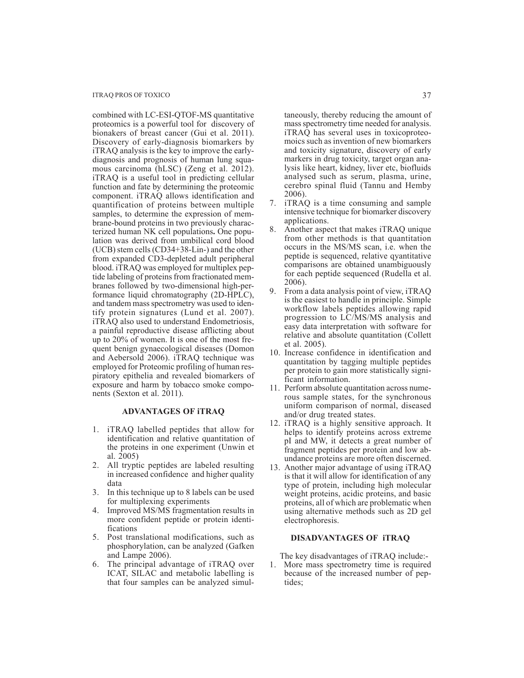combined with LC-ESI-QTOF-MS quantitative proteomics is a powerful tool for discovery of bionakers of breast cancer (Gui et al. 2011). Discovery of early-diagnosis biomarkers by iTRAQ analysis is the key to improve the earlydiagnosis and prognosis of human lung squamous carcinoma (hLSC) (Zeng et al. 2012). iTRAQ is a useful tool in predicting cellular function and fate by determining the proteomic component. iTRAQ allows identification and quantification of proteins between multiple samples, to determine the expression of membrane-bound proteins in two previously characterized human NK cell populations**.** One population was derived from umbilical cord blood (UCB) stem cells (CD34+38-Lin-) and the other from expanded CD3-depleted adult peripheral blood. iTRAQ was employed for multiplex peptide labeling of proteins from fractionated membranes followed by two-dimensional high-performance liquid chromatography (2D-HPLC), and tandem mass spectrometry was used to identify protein signatures (Lund et al. 2007). iTRAQ also used to understand Endometriosis, a painful reproductive disease afflicting about up to 20% of women. It is one of the most frequent benign gynaecological diseases (Domon and Aebersold 2006). iTRAQ technique was employed for Proteomic profiling of human respiratory epithelia and revealed biomarkers of exposure and harm by tobacco smoke components (Sexton et al. 2011).

# **ADVANTAGES OF iTRAQ**

- 1. iTRAQ labelled peptides that allow for identification and relative quantitation of the proteins in one experiment (Unwin et al. 2005)
- 2. All tryptic peptides are labeled resulting in increased confidence and higher quality data
- 3. In this technique up to 8 labels can be used for multiplexing experiments
- 4. Improved MS/MS fragmentation results in more confident peptide or protein identifications
- 5. Post translational modifications, such as phosphorylation, can be analyzed (Gafken and Lampe 2006).
- 6. The principal advantage of iTRAQ over ICAT, SILAC and metabolic labelling is that four samples can be analyzed simul-

taneously, thereby reducing the amount of mass spectrometry time needed for analysis. iTRAQ has several uses in toxicoproteomoics such as invention of new biomarkers and toxicity signature, discovery of early markers in drug toxicity, target organ analysis like heart, kidney, liver etc, biofluids analysed such as serum, plasma, urine, cerebro spinal fluid (Tannu and Hemby 2006).

- 7. iTRAQ is a time consuming and sample intensive technique for biomarker discovery applications.
- 8. Another aspect that makes iTRAQ unique from other methods is that quantitation occurs in the MS/MS scan, i.e. when the peptide is sequenced, relative qyantitative comparisons are obtained unambiguously for each peptide sequenced (Rudella et al. 2006).
- 9. From a data analysis point of view, iTRAQ is the easiest to handle in principle. Simple workflow labels peptides allowing rapid progression to LC/MS/MS analysis and easy data interpretation with software for relative and absolute quantitation (Collett et al. 2005).
- 10. Increase confidence in identification and quantitation by tagging multiple peptides per protein to gain more statistically significant information.
- 11. Perform absolute quantitation across numerous sample states, for the synchronous uniform comparison of normal, diseased and/or drug treated states.
- 12. iTRAQ is a highly sensitive approach. It helps to identify proteins across extreme pI and MW, it detects a great number of fragment peptides per protein and low abundance proteins are more often discerned.
- 13. Another major advantage of using iTRAQ is that it will allow for identification of any type of protein, including high molecular weight proteins, acidic proteins, and basic proteins, all of which are problematic when using alternative methods such as 2D gel electrophoresis.

# **DISADVANTAGES OF iTRAQ**

The key disadvantages of iTRAQ include:-

1. More mass spectrometry time is required because of the increased number of peptides;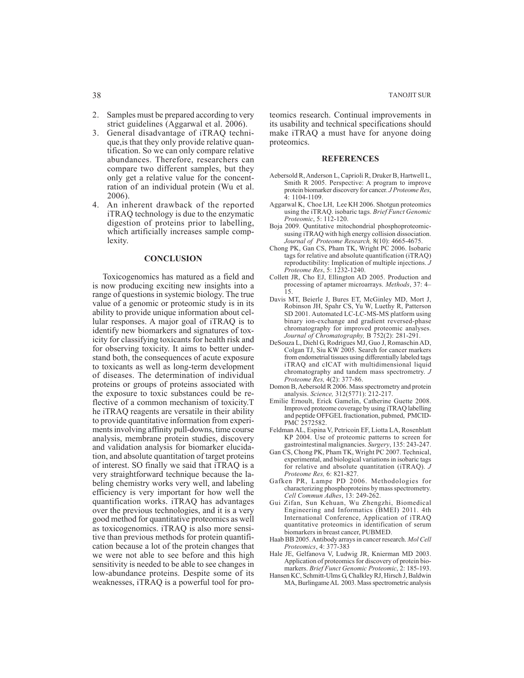- 2. Samples must be prepared according to very strict guidelines (Aggarwal et al. 2006).
- 3. General disadvantage of iTRAQ technique,is that they only provide relative quantification. So we can only compare relative abundances. Therefore, researchers can compare two different samples, but they only get a relative value for the concentration of an individual protein (Wu et al. 2006).
- 4. An inherent drawback of the reported iTRAQ technology is due to the enzymatic digestion of proteins prior to labelling, which artificially increases sample complexity.

#### **CONCLUSION**

Toxicogenomics has matured as a field and is now producing exciting new insights into a range of questions in systemic biology. The true value of a genomic or proteomic study is in its ability to provide unique information about cellular responses. A major goal of iTRAQ is to identify new biomarkers and signatures of toxicity for classifying toxicants for health risk and for observing toxicity. It aims to better understand both, the consequences of acute exposure to toxicants as well as long-term development of diseases. The determination of individual proteins or groups of proteins associated with the exposure to toxic substances could be reflective of a common mechanism of toxicity.T he iTRAQ reagents are versatile in their ability to provide quantitative information from experiments involving affinity pull-downs, time course analysis, membrane protein studies, discovery and validation analysis for biomarker elucidation, and absolute quantitation of target proteins of interest. SO finally we said that iTRAQ is a very straightforward technique because the labeling chemistry works very well, and labeling efficiency is very important for how well the quantification works. iTRAQ has advantages over the previous technologies, and it is a very good method for quantitative proteomics as well as toxicogenomics. iTRAQ is also more sensitive than previous methods for protein quantification because a lot of the protein changes that we were not able to see before and this high sensitivity is needed to be able to see changes in low-abundance proteins. Despite some of its weaknesses, iTRAQ is a powerful tool for proteomics research. Continual improvements in its usability and technical specifications should make iTRAQ a must have for anyone doing proteomics.

#### **REFERENCES**

- Aebersold R, Anderson L, Caprioli R, Druker B, Hartwell L, Smith R 2005. Perspective: A program to improve protein biomarker discovery for cancer. *J Proteome Res*,  $4:1104-1109$
- Aggarwal K, Choe LH, Lee KH 2006. Shotgun proteomics using the iTRAQ. isobaric tags. *Brief Funct Genomic Proteomic*, 5: 112-120.
- Boja 2009. Quntitative mitochondrial phosphoproteomicsusing iTRAQ with high energy collision dissociation. *Journal of Proteome Research,* 8(10): 4665-4675.
- Chong PK, Gan CS, Pham TK, Wright PC 2006. Isobaric tags for relative and absolute quantification (iTRAQ) reproductibility: Implication of multiple injections. *J Proteome Res*, 5: 1232-1240.
- Collett JR, Cho EJ, Ellington AD 2005. Production and processing of aptamer microarrays. *Methods*, 37: 4–  $\hat{1}5$
- Davis MT, Beierle J, Bures ET, McGinley MD, Mort J, Robinson JH, Spahr CS, Yu W, Luethy R, Patterson SD 2001. Automated LC-LC-MS-MS platform using binary ion-exchange and gradient reversed-phase chromatography for improved proteomic analyses. *Journal of Chromatography,* B 752(2): 281-291.
- DeSouza L, Diehl G, Rodrigues MJ, Guo J, Romaschin AD, Colgan TJ, Siu KW 2005. Search for cancer markers from endometrial tissues using differentially labeled tags iTRAQ and cICAT with multidimensional liquid chromatography and tandem mass spectrometry. *J Proteome Res,* 4(2): 377-86.
- Domon B, Aebersold R 2006. Mass spectrometry and protein analysis. *Science,* 312(5771): 212-217.
- Emilie Ernoult, Erick Gamelin, Catherine Guette 2008. Improved proteome coverage by using iTRAQ labelling and peptide OFFGEL fractionation, pubmed, PMCID-PMC 2572582.
- Feldman AL, Espina V, Petricoin EF, Liotta LA, Rosenblatt KP 2004. Use of proteomic patterns to screen for gastrointestinal malignancies. *Surgery*, 135: 243-247.
- Gan CS, Chong PK, Pham TK, Wright PC 2007. Technical, experimental, and biological variations in isobaric tags for relative and absolute quantitation (iTRAQ). *J Proteome Res,* 6: 821-827.
- Gafken PR, Lampe PD 2006. Methodologies for characterizing phosphoproteins by mass spectrometry. *Cell Commun Adhes*, 13: 249-262.
- Gui Zifan, Sun Kehuan, Wu Zhengzhi, Biomedical Engineering and Informatics (BMEI) 2011. 4th International Conference, Application of iTRAQ quantitative proteomics in identification of serum biomarkers in breast cancer, PUBMED.
- Haab BB 2005. Antibody arrays in cancer research. *Mol Cell Proteomics*, 4: 377-383
- Hale JE, Gelfanova V, Ludwig JR, Knierman MD 2003. Application of proteomics for discovery of protein biomarkers. *Brief Funct Genomic Proteomic*, 2: 185-193.
- Hansen KC, Schmitt-Ulms G, Chalkley RJ, Hirsch J, Baldwin MA, Burlingame AL 2003. Mass spectrometric analysis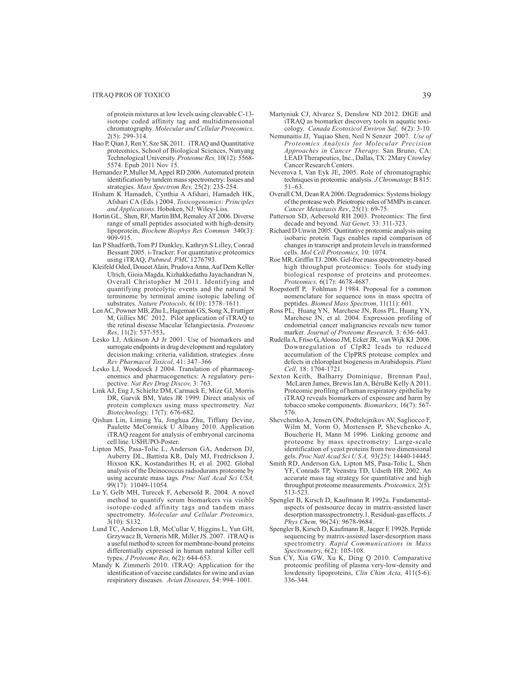#### ITRAQ PROS OF TOXICO 39

of protein mixtures at low levels using cleavable C-13 isotope coded affinity tag and multidimensional chromatography. *Molecular and Cellular Proteomics,* 2(5): 299-314.

- Hao P, Qian J, Ren Y, Sze SK 2011. iTRAQ and Quantitative proteomics, School of Biological Sciences, Nanyang Technological University. *Proteome Res,* 10(12): 5568- 5574. Epub 2011 Nov 15.
- Hernandez P, Muller M, Appel RD 2006. Automated protein identification by tandem mass spectrometry: Issues and strategies. *Mass Spectrom Rev,* 25(2): 235-254.
- Hisham K Hamadeh, Cynthia A Afshari, Hamadeh HK, Afshari CA (Eds.) 2004. *Toxicogenomics: Principles and Applications*. Hoboken, NJ: Wiley-Liss.
- Hortin GL, Shen, RF, Martin BM, Remaley AT 2006. Diverse range of small peptides associated with high-density lipoprotein, *Biochem Biophys Res Commun* 340(3): 909-915.
- Ian P Shadforth,Tom PJ Dunkley, Kathryn S Lilley, Conrad Bessant 2005. i-Tracker: For quantitative proteomics using iTRAQ, *Pubmed, PMC* 1276793.
- Kleifeld Oded, Doucet Alain, Prudova Anna, Auf Dem Keller Ulrich, Gioia Magda, Kizhakkedathu Jayachandran N, Overall Christopher M 2011. Identifying and quantifying proteolytic events and the natural N terminome by terminal amine isotopic labeling of substrates. *Nature Protocols,* 6(10): 1578–1611.
- Len AC, Powner MB, Zhu L, Hageman GS, Song X, Fruttiger M, Gillies MC 2012. Pilot application of iTRAQ to the retinal disease Macular Telangiectasia. *Proteome Res*, 11(2): 537-553**.**
- Lesko LJ, Atkinson AJ Jr 2001. Use of biomarkers and surrogate endpoints in drug development and regulatory decision making: criteria, validation, strategies. *Annu Rev Pharmacol Toxicol*, 41: 347–366
- Lesko LJ, Woodcock J 2004. Translation of pharmacogenomics and pharmacogenetics: A regulatory perspective. *Nat Rev Drug Discov,* 3: 763.
- Link AJ, Eng J, Schieltz DM, Carmack E, Mize GJ, Morris DR, Garvik BM, Yates JR 1999. Direct analysis of protein complexes using mass spectrometry. *Nat Biotechnology,* 17(7): 676-682.
- Qishan Lin, Liming Yu, Jinghua Zhu, Tiffany Devine, Paulette McCormick U Albany 2010. Application iTRAQ reagent for analysis of embryonal carcinoma cell line. USHUPO-Poster.
- Lipton MS, Pasa-Tolic L, Anderson GA, Anderson DJ, Auberry DL, Battista KR, Daly MJ, Fredrickson J, Hixson KK, Kostandarithes H, et al. 2002. Global analysis of the Deinococcus radiodurans proteome by using accurate mass tags. *Proc Natl Acad Sci USA,* 99(17): 11049-11054.
- Lu Y, Gelb MH, Turecek F, Aebersold R. 2004. A novel method to quantify serum biomarkers via visible isotope-coded affinity tags and tandem mass spectrometry. *Molecular and Cellular Proteomics,* 3(10): S132.
- Lund TC, Anderson LB, McCullar V, Higgins L, Yun GH, Grzywacz B, Verneris MR, Miller JS. 2007. iTRAQ is a useful method to screen for membrane-bound proteins differentially expressed in human natural killer cell types. *J Proteome Res,* 6(2): 644-653.
- Mandy K Zimmerli 2010. iTRAQ: Application for the identification of vaccine candidates for swine and avian respiratory diseases. *Avian Diseases,* 54: 994–1001.
- Martyniuk CJ, Alvarez S, Denslow ND 2012. DIGE and iTRAQ as biomarker discovery tools in aquatic toxicology. *Canada Ecotoxicol Environ Saf,* 6(2): 3-10.
- Nemunaitis JJ, Yuqiao Shen, Neil N Senzer 2007. *Use of Proteomics Analysis for Molecular Precision Approaches in Cancer Therapy.* San Bruno, CA: LEAD Therapeutics, Inc., Dallas, TX: 2Mary Crowley Cancer Research Centers.
- Neverova I, Van Eyk JE, 2005. Role of chromatographic techniques in proteomic analysis. *J Chromatogr,* B 815: 51–63.
- Overall CM, Dean RA 2006. Degradomics: Systems biology of the protease web. Pleiotropic roles of MMPs in cancer. *Cancer Metastasis Rev*, 25(1): 69-75.
- Patterson SD, Aebersold RH 2003. Proteomics: The first decade and beyond. *Nat Genet,* 33: 311-323.
- Richard D Unwin 2005. Quntitative proteomic analysis using isobaric protein Tags enables rapid comparison of changes in transcript and protein levels in transformed cells. *Mol Cell Proteomics,* 10: 1074.
- Roe MR, Griffin TJ. 2006. Gel-free mass spectrometry-based high throughput proteomics: Tools for studying biological response of proteins and proteomes. *Proteomics,* 6(17): 4678-4687.
- Roepstorff P, Fohlman J 1984. Proposal for a common nomenclature for sequence ions in mass spectra of peptides. *Biomed Mass Spectrom,* 11(11): 601.
- Ross PL, Huang YN, Marchese JN, Ross PL, Huang YN, Marchese JN, et al. 2004. Expression profiling of endometrial cancer malignancies reveals new tumor marker. *Journal of Proteome Research,* 3: 636–643.
- Rudella A, Friso G, Alonso JM, Ecker JR, van Wijk KJ 2006. Downregulation of ClpR2 leads to reduced accumulation of the ClpPRS protease complex and defects in chloroplast biogenesis in Arabidopsis. *Plant Cell,* 18: 1704-1721.
- Sexton Keith, Balharry Dominique, Brennan Paul, McLaren James, Brewis Ian A, BéruBé Kelly A 2011. Proteomic profiling of human respiratory epithelia by iTRAQ reveals biomarkers of exposure and harm by tobacco smoke components. *Biomarkers,* 16(7): 567- 576.
- Shevchenko A, Jensen ON, Podtelejnikov AV, Sagliocco F, Wilm M, Vorm O, Mortensen P, Shevchenko A, Boucherie H, Mann M 1996. Linking genome and proteome by mass spectrometry: Large-scale identification of yeast proteins from two dimensional gels. *Proc Natl Acad Sci U S A,* 93(25): 14440-14445.
- Smith RD, Anderson GA, Lipton MS, Pasa-Tolic L, Shen YF, Conrads TP, Veenstra TD, Udseth HR 2002. An accurate mass tag strategy for quantitative and high throughput proteome measurements. *Proteomics,* 2(5): 513-523.
- Spengler B, Kirsch D, Kaufmann R 1992a. Fundamentalaspects of postsource decay in matrix-assisted laser desorption massspectrometry.1. Residual-gas effects. *J Phys Chem,* 96(24): 9678-9684.
- Spengler B, Kirsch D, Kaufmann R, Jaeger E 1992b. Peptide sequencing by matrix-assisted laser-desorption mass spectrometry. *Rapid Communications in Mass Spectrometry,* 6(2): 105-108.
- Sun CY, Xia GW, Xu K, Ding Q 2010. Comparative proteomic profiling of plasma very-low-density and lowdensity lipoproteins, *Clin Chim Acta,* 411(5-6): 336-344.